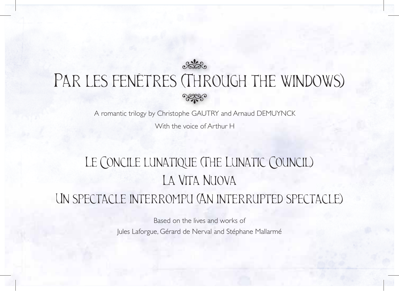

# PAR LES FENÊTRES (THROUGH THE WINDOWS)

A romantic trilogy by Christophe GAUTRY and Arnaud DEMUYNCK

With the voice of Arthur H

## Le Concile lunatique (The Lunatic Council) La Vita Nuova Un spectacle interrompu (An interrupted spectacle)

Based on the lives and works of Jules Laforgue, Gérard de Nerval and Stéphane Mallarmé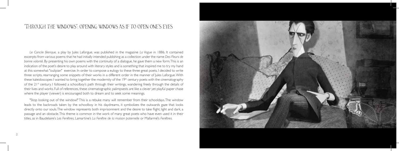#### *"* Through the windows *"* : opening windows as if to open one s eyes *'*

*Le Concile féerique,* a play by Jules Laforgue, was published in the magazine *La Vogue* in 1886. It contained excerpts from various poems that he had initially intended publishing as a collection under the name *Des Fleurs de bonne volonté.* By presenting his own poems with the continuity of a dialogue, he gave them a new form. This is an indication of the poet's desire to play around with literary styles and is something that inspired me to try my hand at this somewhat "oulipian" exercise. In order to compose a eulogy to these three great poets, I decided to write three scripts, rearranging some snippets of their works in a different order in the manner of Jules Laforgue. With these kaleidoscopes I wanted to bring together the modernity of the 19th century poets with the cinematography of the  $21<sup>st</sup>$  century. I followed a schoolboy's path through their writings, wandering freely through the details of their lives and works. Full of references, these cinematographic palimpsests are like a clever yet playful paper chase where the player (viewer) is encouraged both to dream and to seek some meanings.

"Stop looking out of the window!" This is a rebuke many will remember from their schooldays. The window leads to the backroads taken by the schoolboy in his daydreams, it symbolizes the outwards gaze that looks directly onto our souls. The window represents both imprisonment and the desire to take flight, light and dark, a passage and an obstacle. This theme is common in the work of many great poets who have even used it in their titles, as in Baudelaire's *Les Fenêtres*, Lamartine's *La Fenêtre de la maison paternelle* or Mallarmé's *Fenêtres.*

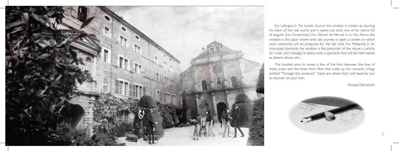

For Laforgue in *The Lunatic Council,* the window is misted up, blurring his vision of the real world, and it opens out onto one of his visions full of anguish *(Les Complaintes).* For Gérard de Nerval, in *La Vita Nuova,* the window is the place where one's last journey is taken, a screen on which one's memories will be projected for the last time. For Mallarmé, in *An interrupted spectacle,* the window is the precursor of the movie, a vehicle for music and nostalgia. It opens onto a spectacle that will be interrupted, as dreams always are...

This booklet aims to reveal a few of the links between the lives of these poets and the three short films that make up this romantic trilogy entitled "Through the windows". There are others that I will leave for you to discover on your own.

Arnaud Demuynck

5

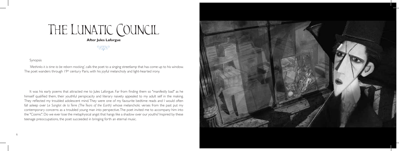# THE LUNATIC COUNCIL

**After Jules Laforgue**

### Synopsis

*'Methinks it is time to be reborn mocking',* calls the poet to a singing streetlamp that has come up to his window. The poet wanders through 19<sup>th</sup> century Paris, with his joyful melancholy and light-hearted irony.

It was his early poems that attracted me to Jules Laforgue. Far from finding them so "manifestly bad" as he himself qualified them, their youthful perspicacity and literary naivety appealed to my adult self in the making. They reflected my troubled adolescent mind. They were one of my favourite bedtime reads and I would often fall asleep over Le Sanglot de la Terre (The Tears of the Earth) whose melancholic verses from the past put my contemporary concerns as a troubled young man into perspective. The poet invited me to accompany him into the "Cosmic". Do we ever lose the metaphysical angst that hangs like a shadow over our youths? Inspired by these After Jules Laforgue<br>
Synopsis<br>
Synopsis<br>
Synopsis<br>
Wethinks it is time to be reborn mocking', calls the poet to a singing streetlamp<br>
The poet wanders through 19<sup>th</sup> century Paris, with his joyful melancholy and lig<br>
It w

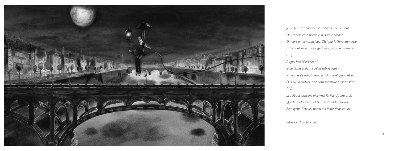

*Je ne puis m'endormir ; je songe au bercement De l'averse emplissant la nuit et le silence. On dort, on aime, on joue. Oh ! par la Terre immense, Est-il quelqu'un qui songe à moi, dans ce moment ? (…) À quoi bon l'Existence ? Si ce globe endormi gelait subitement ? Si rien ne s'éveillait demain ! Oh ! quel grand rêve ! Plus qu'un stupide bloc sans mémoire et sans sève (…) Les siècles passent. Nul n'est là. Pas d'autre bruit Que le vent éternel et l'eau battant les grèves…* Rien qu'un Cercueil perdu qui flotte dans la Nuit.

*Rêve, Les Complaintes*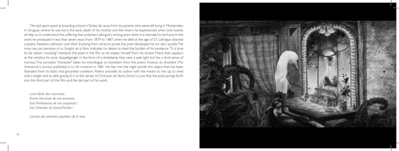The dull years spent at boarding school in Tarbes, far away from his parents who were still living in Montevideo in Uruguay where he was born, the early death of his mother and the misery he experienced when only twenty all help us to understand the suffering that underlies Laforgue's writing, even when it is intended to be funny. In the work he produced in less than seven years from 1879 to 1887, when he died at the age of 27, Laforgue attained a poetic freedom unknown until then. Evolving from verse to prose, the poet developed his art very quickly. The irony we can perceive in *Le Sanglot de la Terre* indicates his desire to shed the burden of his existence. "It is time to be reborn mocking" interjects the poet in the film as he shakes himself from his torpor. There then appears at the window his lunar doppelganger in the form of a streetlamp that casts a pale light but has a droll sense of humour. This surrealist "character" takes his monologue on boredom from the poem *Tristesse du réverbère (The Streetlamp's Sorrow)* published in *La Vie moderne* in 1881 He flies into the night astride this object that has been liberated from its static and grounded condition. Poetry provides its author with the means to rise up, to shed one's weight and to defy gravity. It is to the verses of *L'Imitation de Notre Dame la Lune* that the poet springs forth into the third part of the film and the last part of his work,

*Lune bénie des insomnies, Dame très-lasse de nos terrasses, Sois l'Ambulance de nos croyances ! Sois l'édredon du Grand-Pardon !*

*Litanies des premiers quartiers de la lune*

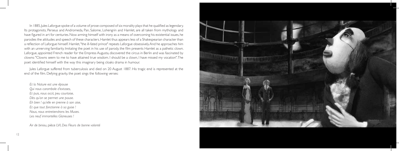In 1885, Jules Laforgue spoke of a volume of prose composed of six morality plays that he qualified as legendary. Its protagonists, Perseus and Andromeda, Pan, Salome, Lohengrin and Hamlet, are all taken from mythology and have figured in art for centuries. Now arming himself with irony as a means of overcoming his existential issues, he parodies the attitudes and speech of these characters. Hamlet thus appears less of a Shakespearian character than a reflection of Laforgue himself. Hamlet, "the ill-fated prince" repeats Laforgue obsessively. And he approaches him with an unnerving familiarity. Imitating the poet in his use of parody, the film presents Hamlet as a pathetic clown. Laforgue, appointed French reader for the Empress Augusta, discovered the circus in Berlin and was fascinated by clowns: "Clowns seem to me to have attained true wisdom. I should be a clown, I have missed my vocation". The poet identified himself with the way this imaginary being cloaks drama in humour.

Jules Laforgue suffered from tuberculosis and died on 20 August 1887. His tragic end is represented at the end of the film. Defying gravity, the poet sings the following verses:

*Et la Nature est une épouse Qui nous carambole d'extases, Et puis, nous occit, peu courtoise, Dès qu'on se permet une pause. Eh bien ! qu'elle en prenne à son aise, Et que tout fonctionne à sa guise ! Nous, nous entretiendrons les Muses. Les neuf immortelles Glaneuses !*

*Air de biniou,* pièce LVI, *Des Fleurs de bonne volonté*

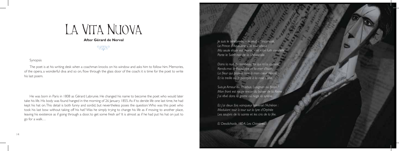# La Vita Nuova

**After Gérard de Nerval** E<br>Frand de

### Synopsis

The poet is at his writing desk when a coachman knocks on his window and asks him to follow him. Memories, of the opera, a wonderful diva and so on, flow through the glass door of the coach: it is time for the poet to write his last poem.

He was born in Paris in 1808 as Gérard Labrunie. He changed his name to become the poet who would later take his life. His body was found hanged in the morning of 26 January 1855. As if to deride life one last time, he had kept his hat on. This detail is both funny and sordid, but nevertheless poses the question: Who was this poet who took his last bow without taking off his hat? Was he simply trying to change his life as if moving to another place, leaving his existence as if going through a door, to get some fresh air? It is almost as if he had put his hat on just to go for a walk…

*Je suis le ténébreux, – le veuf, – l'inconsolé, Le Prince d'Aquitaine à la tour abolie : Ma seule étoile est morte, – et mon luth constellé Porte le Soleil noir de la Mélancolie.*

*Dans la nuit du tombeau, toi qui m'as consolé, Rends-moi le Pausilippe et la mer d'Italie, La fl eur qui plaisait tant à mon cœur désolé, Et la treille où le pampre à la rose s'allie.*

*Suis-je Amour ou Phœbus, Lusignan ou Biron ? Mon front est rouge encor du baiser de la Reine ; J'ai rêvé dans la grotte où nage la syrène…*

*Et j'ai deux fois vainqueur traversé l'Achéron : Modulant tour à tour sur la lyre d'Orphée Les soupirs de la sainte et les cris de la fée.*

*El Desdichado,* 1854, *Les Chimères*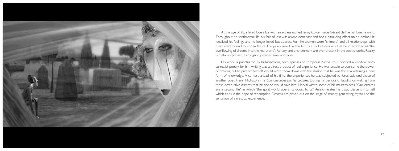

At the age of 28, a failed love affair with an actress named Jenny Colon made Gérard de Nerval lose his mind. Throughout his sentimental life, his fear of loss was always dominant and had a paralysing effect on his desire. He idealized his feelings and no longer loved but adored. For him women were "chimera" and all relationships with them were bound to end in failure. The pain caused by this led to a sort of delirium that he interpreted as "the overflowing of dreams into the real world". Fantasy and enchantment are ever-present in the poet's works. Reality is metamorphosed, transfiguring shapes, sizes and faces.

His work is punctuated by hallucinations, both spatial and temporal. Nerval thus opened a window onto surrealist poetry; for him writing was a direct product of real experience. He was unable to overcome the power of dreams, but to protect himself, would write them down with the illusion that he was thereby attaining a new form of knowledge. A century ahead of his time, the experiences he was subjected to foreshadowed those of another poet, Henri Michaux in his *Connaissances par les gouffres.* During his periods of lucidity, on waking from these destructive dreams that he hoped would save him, Nerval wrote some of his masterpieces. "Our dreams are a second life", in which "the spirit world opens its doors to us". *Aurélia* relates his tragic descent into hell which ends in the hope of redemption. Dreams are played out on the stage of insanity, generating myths and the sensation of a mystical experience.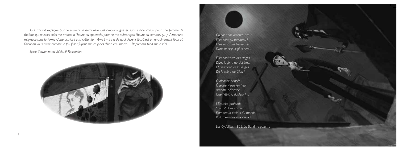*Tout m'était expliqué par ce souvenir à demi rêvé. Cet amour vague et sans espoir, conçu pour une femme de théâtre, qui tous les soirs me prenait à l'heure du spectacle, pour ne me quitter qu'à l'heure du sommeil (…). Aimer une religieuse sous la forme d'une actrice ! et si c'était la même ! – Il y a de quoi devenir fou. C'est un entraînement fatal où l'inconnu vous attire comme le feu follet fuyant sur les joncs d'une eau morte… Reprenons pied sur le réel.*

### *Sylvie, Souvenirs du Valois, III. Résolution*



*Où sont nos amoureuses ? Elles sont au tombeau ! Elles sont plus heureuses Dans un séjour plus beau.*

*Elles sont près des anges Dans le fond du ciel bleu, Et chantent les louanges De la mère de Dieu !*

*Ô blanche fi ancée ! Ô jeune vierge en fleur ! Amante délaissée,* Que flétrit la douleur !...

*L'Éternité profonde Souriait dans vos yeux : Flambeaux éteints du monde, Rallumez-vous aux cieux !*

*Les Cydalises,* 1852, *La Bohême galante*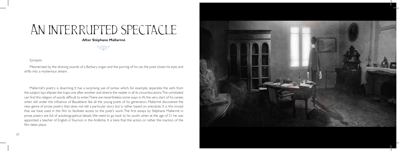# An interrupted spectacle

### **After Stéphane Mallarmé** E

#### Synopsis

Mesmerized by the droning sounds of a Barbary organ and the purring of his cat, the poet closes his eyes and drifts into a mysterious dream.

Mallarmé's poetry is disarming. It has a surprising use of syntax which, for example, separates the verb from the subject, lays ellipses like traps one after another and diverts the reader in all its circumlocutions. The uninitiated can find this religion of words difficult to enter. There are nevertheless some ways in. At the very start of his career, when still under the influence of Baudelaire like all the young poets of his generation, Mallarmé discovered the new genre of prose poetry that does not tell a particular story but is rather based on anecdote. It is this inroad that we have used in the film to facilitate access to the poet's work. The first essays by Stéphane Mallarmé in prose poetry are full of autobiographical details. We need to go back to his youth, when at the age of 21 he was appointed a teacher of English in Tournon in the Ardèche. It is here that the action, or rather the inaction, of the film takes place.

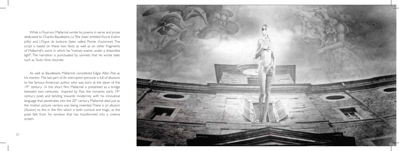While in Tournon, Mallarmé wrote his poems in verse and prose dedicated to Charles Baudelaire, *La Tête* (later entitled *Pauvre Enfant pâle)* and *L'Orgue de barbarie* (later called *Plainte d'automne*). The script is based on these two texts as well as on other fragments of Mallarmé's work in which he "notices events under a dreamlike light". The narration is punctuated by sonnets that he wrote later, such as *Toute l'âme résumée.*

As well as Baudelaire, Mallarmé considered Edgar Allan Poe as his mentor. The last part of *An interrupted spectacle* is full of allusions to the famous American author who was born at the dawn of the 19<sup>th</sup> century. In this short film, Mallarmé is presented as a bridge between two centuries: Inspired by Poe, the romantic early 19th century poet, and tending towards modernity with his innovative language that penetrates into the 20<sup>th</sup> century. Mallarmé died just as the motion picture camera was being invented. There is an allusion (illusion) to this in the film which is both comical and tragic, as the poet falls from his window that has transformed into a cinema screen.

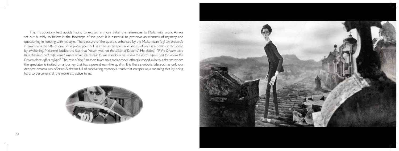This introductory text avoids having to explain in more detail the references to Mallarmé's work. As we set out humbly to follow in the footsteps of the poet, it is essential to preserve an element of mystery and questioning in keeping with his style. The pleasure of the quest is enhanced by the Mallarmean fog! *Un spectacle interrompu* is the title of one of his prose poems. The interrupted spectacle par excellence is a dream, interrupted by awakening. Mallarmé lauded the fact that *"Action was not the sister of Dreams"*. He added: *"If the Dream were*  thus debased and deflowered, where would be retreat to, we unlucky ones whom the earth repels and for whom the *Dream alone offers refuge?*" The rest of the film then takes on a melancholy, lethargic mood, akin to a dream, where the spectator is invited on a journey that has a pure dream-like quality. It is like a symbolic tale, such as only our deepest dreams can offer us. A dream full of captivating mystery, a truth that escapes us, a meaning that by being hard to perceive is all the more attractive to us.



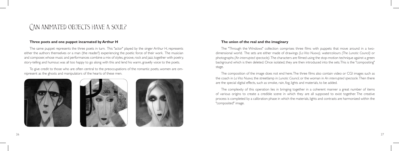## Can animated objects have a soul?

#### **Three poets and one puppet incarnated by Arthur H**

The same puppet represents the three poets in turn. This "actor" played by the singer Arthur H, represents either the authors themselves or a man (the reader?) experiencing the poetic force of their work. The musician and composer, whose music and performances combine a mix of styles, groove, rock and jazz, together with poetry, story-telling and humour, was all too happy to go along with this and lend his warm, gravelly voice to the poets.

To give credit to those who are often central to the preoccupations of the romantic poets, women are omnipresent as the ghosts and manipulators of the hearts of these men.







#### **The union of the real and the imaginary**

The "Through the Windows" collection comprises three films with puppets that move around in a twodimensional world. The sets are either made of drawings *(La Vita Nuova),* watercolours *(The Lunatic Council)* or photographs *(An interrupted spectacle)*. The characters are filmed using the stop-motion technique against a green background which is then deleted. Once isolated, they are then introduced into the sets. This is the "compositing" stage.

The composition of the image does not end here. The three films also contain video or CGI images such as the coach in *La Vita Nuova,* the streetlamp in *Lunatic Council,* or the woman in *An interrupted spectacle.* Then there are the special digital effects, such as smoke, rain, fog, lights and materials, to be added.

The complexity of this operation lies in bringing together in a coherent manner a great number of items of various origins to create a credible scene in which they are all supposed to exist together. The creative process is completed by a calibration phase in which the materials, lights and contrasts are harmonized within the "composited" image.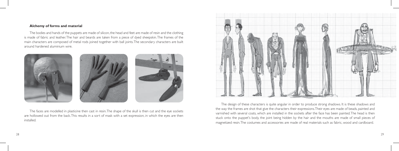#### **Alchemy of forms and material**

The bodies and hands of the puppets are made of silicon, the head and feet are made of resin and the clothing is made of fabric and leather. The hair and beards are taken from a piece of dyed sheepskin. The frames of the main characters are composed of metal rods joined together with ball joints. The secondary characters are built around hardened aluminium wire.



The faces are modelled in plasticine then cast in resin. The shape of the skull is then cut and the eye sockets are hollowed out from the back. This results in a sort of mask with a set expression, in which the eyes are then installed.



The design of these characters is quite angular in order to produce strong shadows. It is these shadows and the way the frames are shot that give the characters their expressions. Their eyes are made of beads, painted and varnished with several coats, which are installed in the sockets after the face has been painted. The head is then stuck onto the puppet's body, the joint being hidden by the hair and the mouths are made of small pieces of magnetized resin. The costumes and accessories are made of real materials such as fabric, wood and cardboard.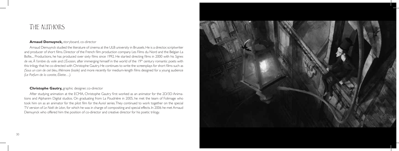## The authors

#### **Arnaud Demuynck,** storyboard, co-director

Arnaud Demuynck studied the literature of cinema at the ULB university in Brussels. He is a director, scriptwriter and producer of short films. Director of the French film production company Les Films du Nord and the Belgian La Boîte,... Productions, he has produced over sixty films since 1992. He started directing films in 2000 with his Signes *de vie, À l'ombre du voile* and *L'Évasion,* after immerging himself in the world of the 19th century romantic poets with this trilogy that he co-directed with Christophe Gautry. He continues to write the screenplays for short films such as *(Sous un coin de ciel bleu, Mémoire fossile)* and more recently for medium-length films designed for a young audience *(Le Parfum de la carotte, Éliette…).*

### **Christophe Gautry,** graphic designer, co-director

After studying animation at the ECMA, Christophe Gautry first worked as an animator for the 2D/3D Animations and Alphanim Digital studios. On graduating from La Poudrière in 2005, he met the team of Folimage who took him on as an animator for the pilot film for the Auriol series. They continued to work together on the special TV version of *Le Noël de Léon,* for which he was in charge of compositing and special effects. In 2006 he met Arnaud Demuynck who offered him the position of co-director and creative director for his poetic trilogy.